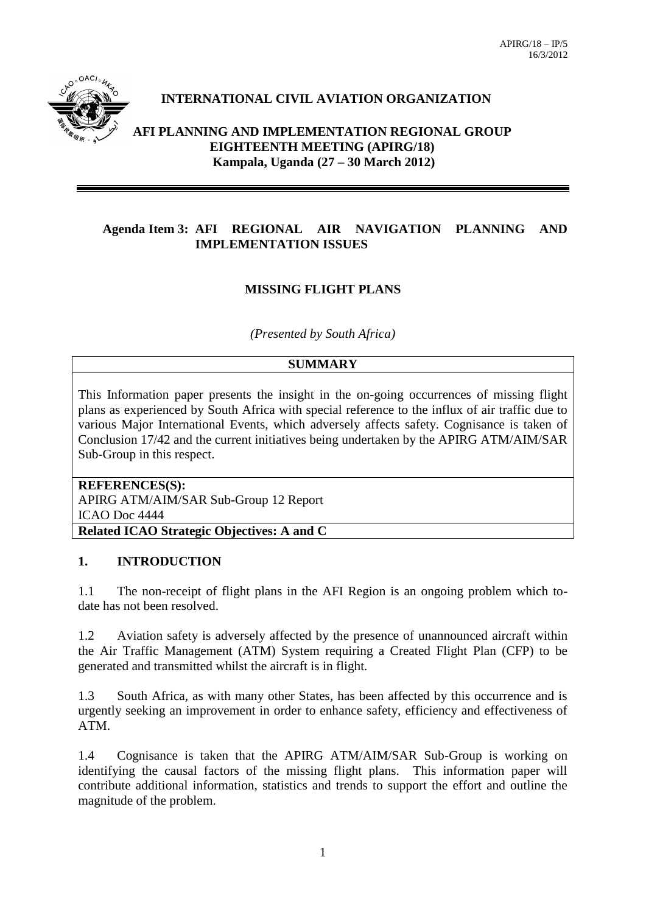

# **INTERNATIONAL CIVIL AVIATION ORGANIZATION**

**AFI PLANNING AND IMPLEMENTATION REGIONAL GROUP EIGHTEENTH MEETING (APIRG/18) Kampala, Uganda (27 – 30 March 2012)**

#### **Agenda Item 3: AFI REGIONAL AIR NAVIGATION PLANNING AND IMPLEMENTATION ISSUES**

### **MISSING FLIGHT PLANS**

*(Presented by South Africa)*

#### **SUMMARY**

This Information paper presents the insight in the on-going occurrences of missing flight plans as experienced by South Africa with special reference to the influx of air traffic due to various Major International Events, which adversely affects safety. Cognisance is taken of Conclusion 17/42 and the current initiatives being undertaken by the APIRG ATM/AIM/SAR Sub-Group in this respect.

**REFERENCES(S):** APIRG ATM/AIM/SAR Sub-Group 12 Report ICAO Doc 4444 **Related ICAO Strategic Objectives: A and C**

#### **1. INTRODUCTION**

1.1 The non-receipt of flight plans in the AFI Region is an ongoing problem which todate has not been resolved.

1.2 Aviation safety is adversely affected by the presence of unannounced aircraft within the Air Traffic Management (ATM) System requiring a Created Flight Plan (CFP) to be generated and transmitted whilst the aircraft is in flight.

1.3 South Africa, as with many other States, has been affected by this occurrence and is urgently seeking an improvement in order to enhance safety, efficiency and effectiveness of ATM.

1.4 Cognisance is taken that the APIRG ATM/AIM/SAR Sub-Group is working on identifying the causal factors of the missing flight plans. This information paper will contribute additional information, statistics and trends to support the effort and outline the magnitude of the problem.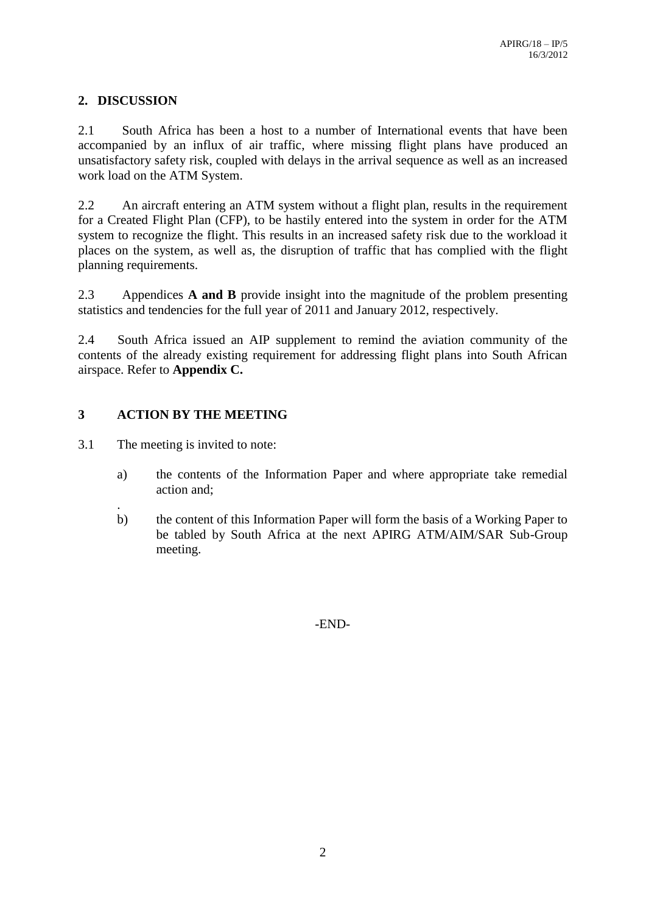### **2. DISCUSSION**

2.1 South Africa has been a host to a number of International events that have been accompanied by an influx of air traffic, where missing flight plans have produced an unsatisfactory safety risk, coupled with delays in the arrival sequence as well as an increased work load on the ATM System.

2.2 An aircraft entering an ATM system without a flight plan, results in the requirement for a Created Flight Plan (CFP), to be hastily entered into the system in order for the ATM system to recognize the flight. This results in an increased safety risk due to the workload it places on the system, as well as, the disruption of traffic that has complied with the flight planning requirements.

2.3 Appendices **A and B** provide insight into the magnitude of the problem presenting statistics and tendencies for the full year of 2011 and January 2012, respectively.

2.4 South Africa issued an AIP supplement to remind the aviation community of the contents of the already existing requirement for addressing flight plans into South African airspace. Refer to **Appendix C.**

## **3 ACTION BY THE MEETING**

3.1 The meeting is invited to note:

- a) the contents of the Information Paper and where appropriate take remedial action and;
- . b) the content of this Information Paper will form the basis of a Working Paper to be tabled by South Africa at the next APIRG ATM/AIM/SAR Sub-Group meeting.

-END-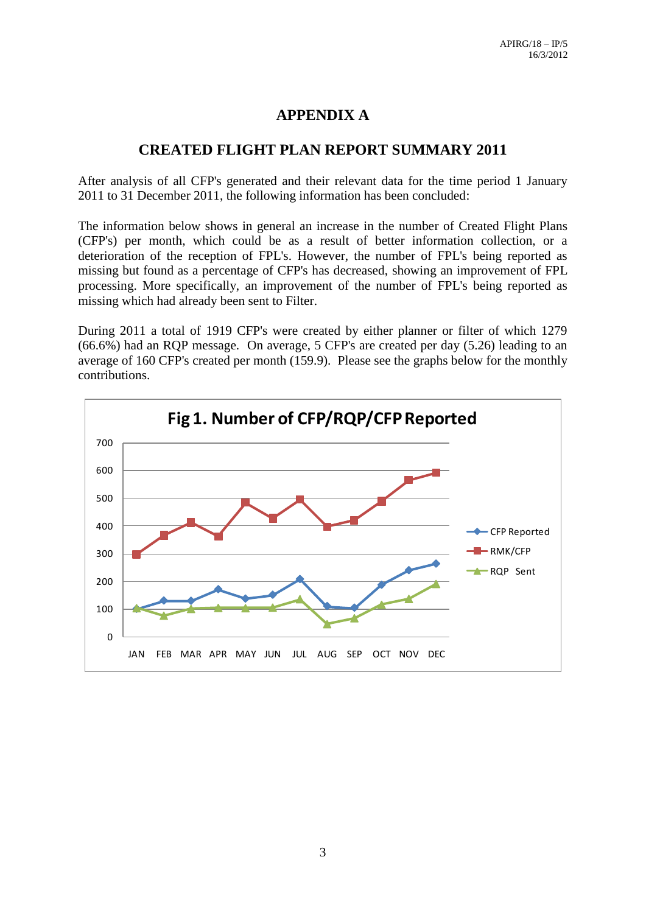# **APPENDIX A**

# **CREATED FLIGHT PLAN REPORT SUMMARY 2011**

After analysis of all CFP's generated and their relevant data for the time period 1 January 2011 to 31 December 2011, the following information has been concluded:

The information below shows in general an increase in the number of Created Flight Plans (CFP's) per month, which could be as a result of better information collection, or a deterioration of the reception of FPL's. However, the number of FPL's being reported as missing but found as a percentage of CFP's has decreased, showing an improvement of FPL processing. More specifically, an improvement of the number of FPL's being reported as missing which had already been sent to Filter.

During 2011 a total of 1919 CFP's were created by either planner or filter of which 1279 (66.6%) had an RQP message. On average, 5 CFP's are created per day (5.26) leading to an average of 160 CFP's created per month (159.9). Please see the graphs below for the monthly contributions.

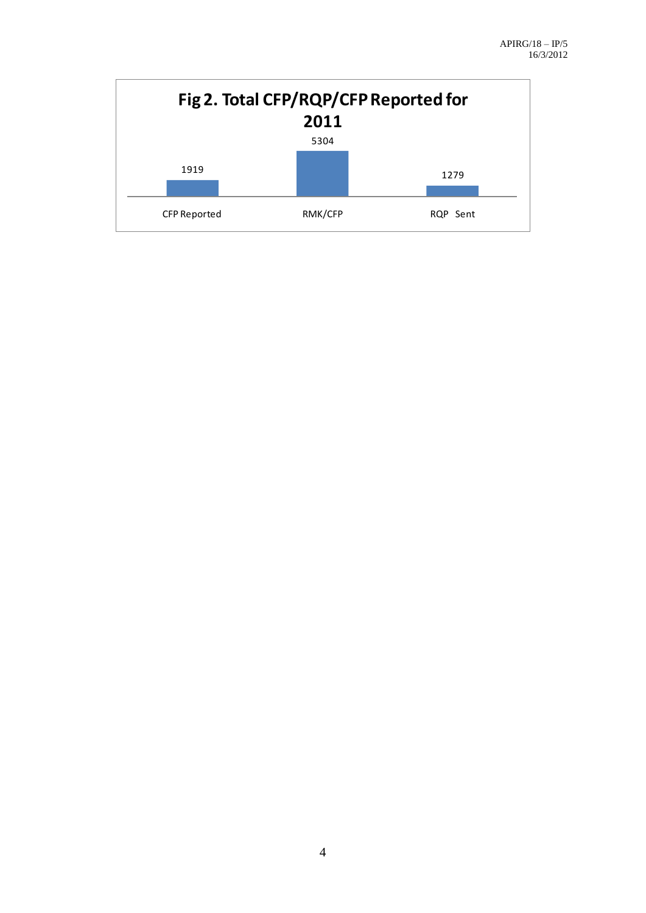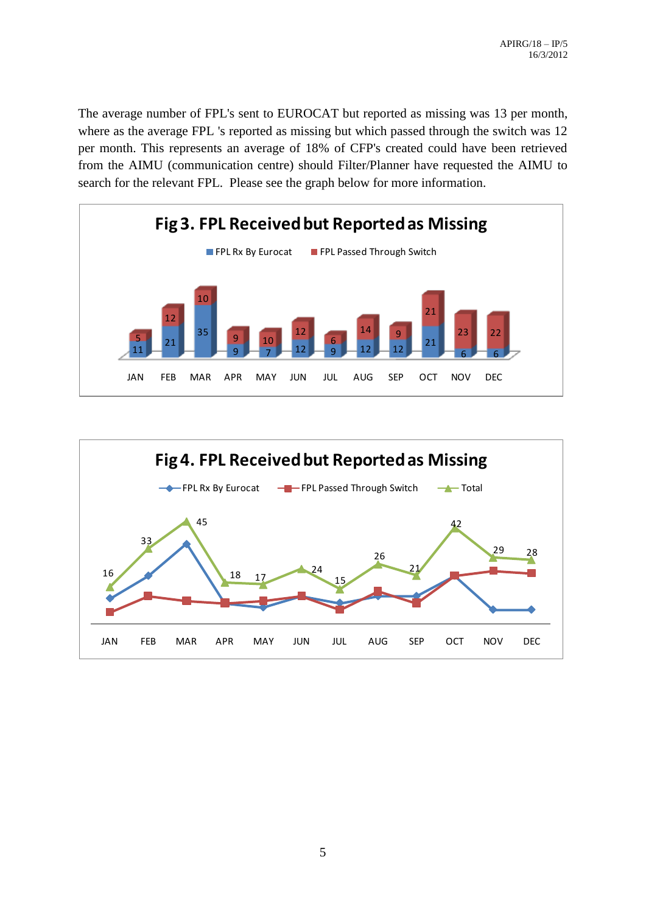The average number of FPL's sent to EUROCAT but reported as missing was 13 per month, where as the average FPL 's reported as missing but which passed through the switch was 12 per month. This represents an average of 18% of CFP's created could have been retrieved from the AIMU (communication centre) should Filter/Planner have requested the AIMU to search for the relevant FPL. Please see the graph below for more information.



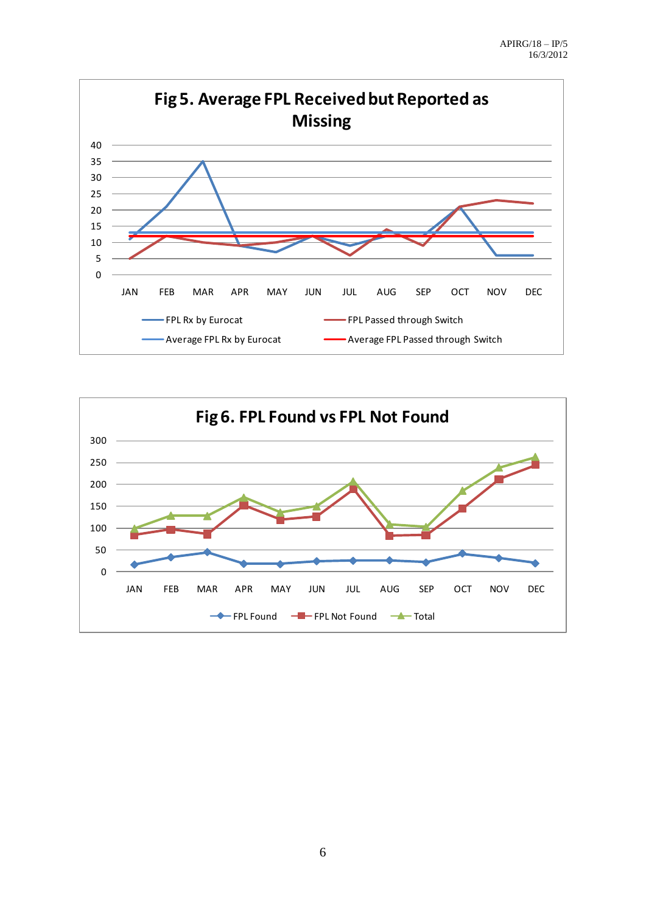

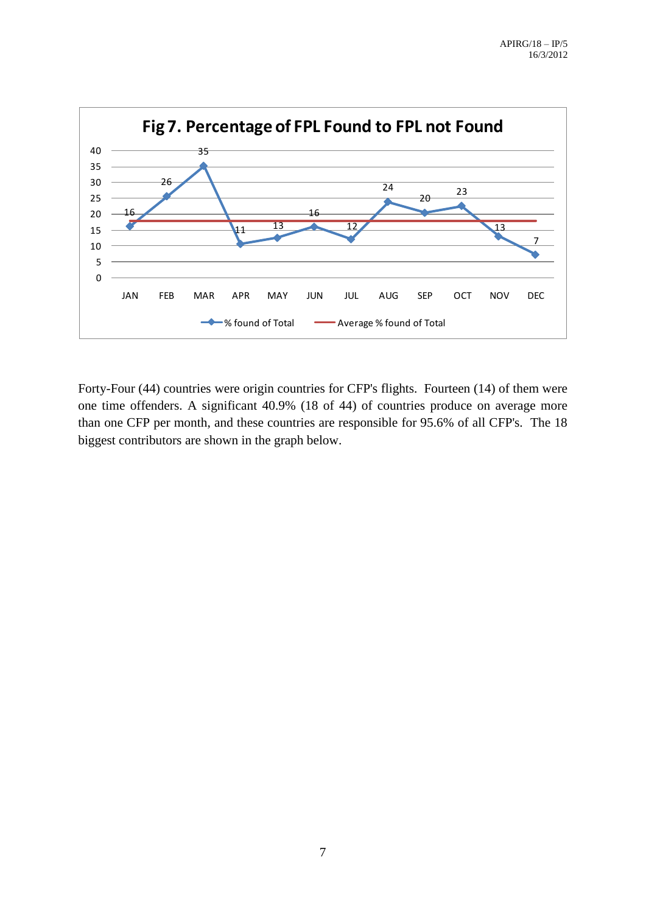

Forty-Four (44) countries were origin countries for CFP's flights. Fourteen (14) of them were one time offenders. A significant 40.9% (18 of 44) of countries produce on average more than one CFP per month, and these countries are responsible for 95.6% of all CFP's. The 18 biggest contributors are shown in the graph below.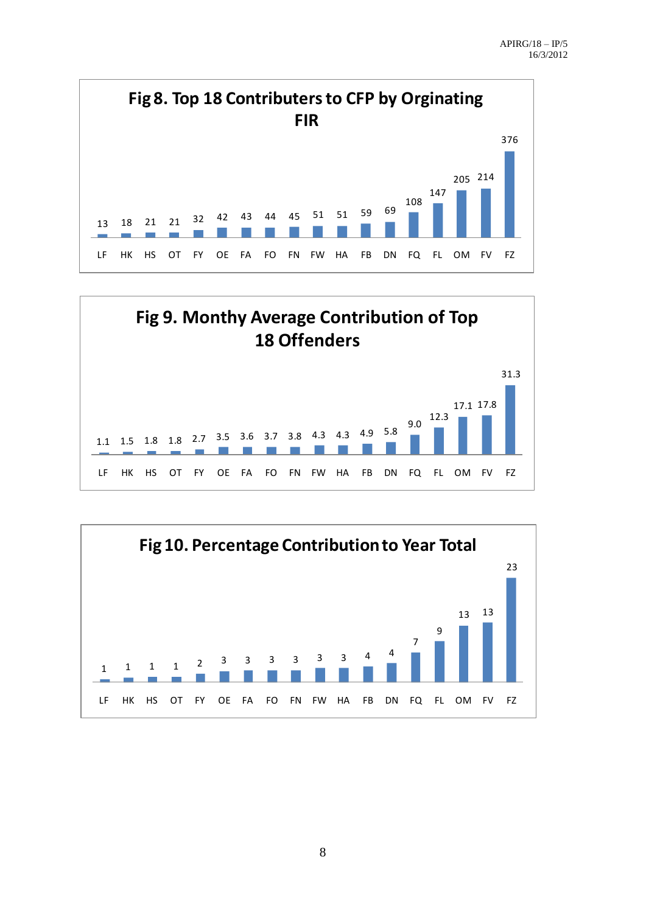





8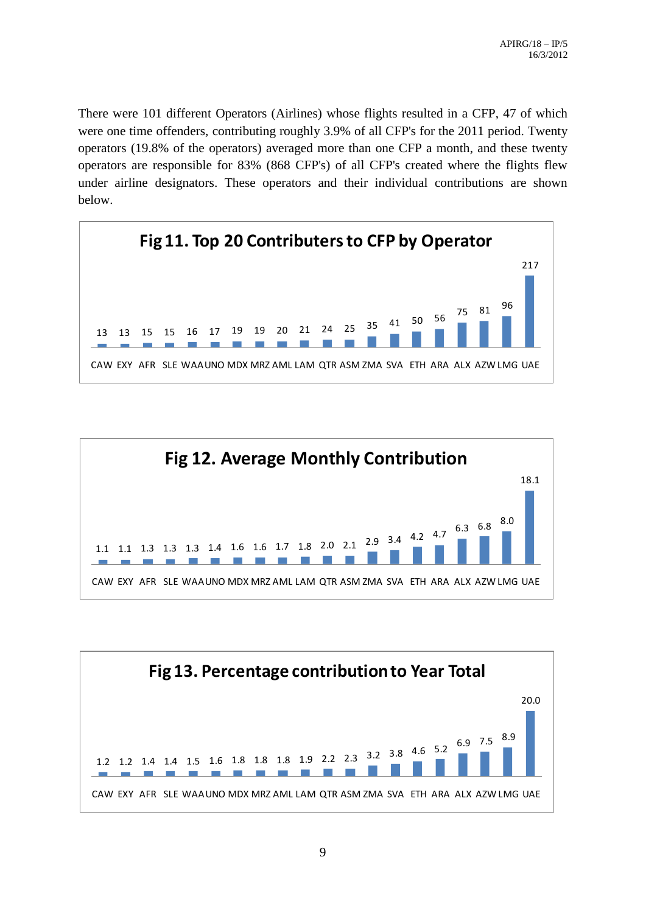There were 101 different Operators (Airlines) whose flights resulted in a CFP, 47 of which were one time offenders, contributing roughly 3.9% of all CFP's for the 2011 period. Twenty operators (19.8% of the operators) averaged more than one CFP a month, and these twenty operators are responsible for 83% (868 CFP's) of all CFP's created where the flights flew under airline designators. These operators and their individual contributions are shown below.





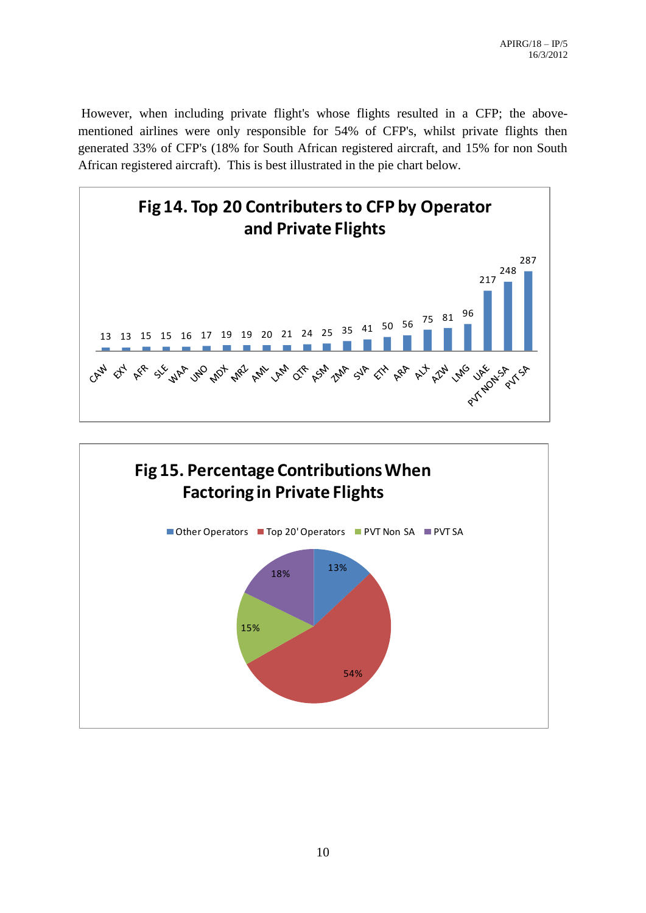However, when including private flight's whose flights resulted in a CFP; the abovementioned airlines were only responsible for 54% of CFP's, whilst private flights then generated 33% of CFP's (18% for South African registered aircraft, and 15% for non South African registered aircraft). This is best illustrated in the pie chart below.



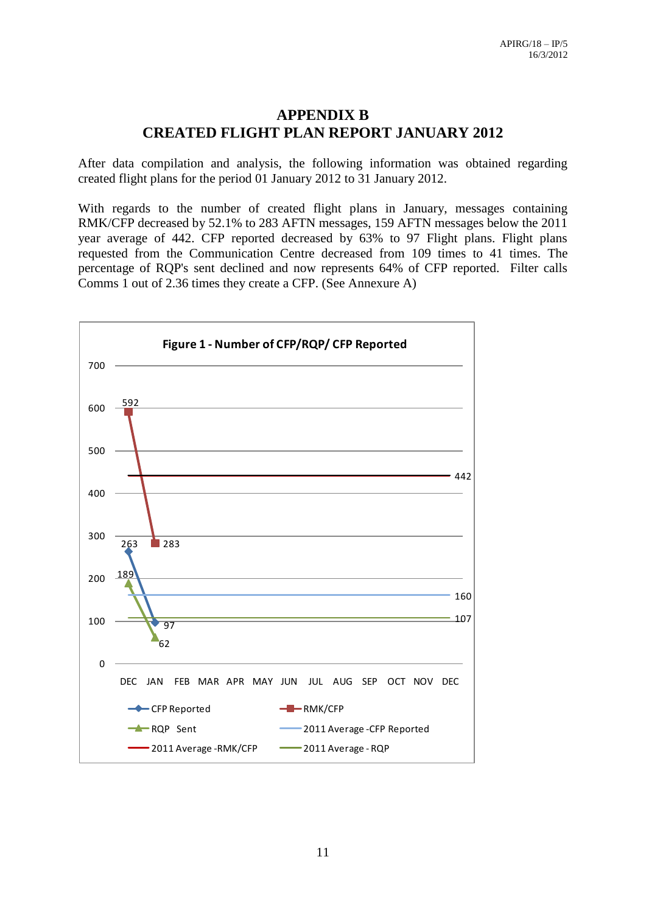## **APPENDIX B CREATED FLIGHT PLAN REPORT JANUARY 2012**

After data compilation and analysis, the following information was obtained regarding created flight plans for the period 01 January 2012 to 31 January 2012.

With regards to the number of created flight plans in January, messages containing RMK/CFP decreased by 52.1% to 283 AFTN messages, 159 AFTN messages below the 2011 year average of 442. CFP reported decreased by 63% to 97 Flight plans. Flight plans requested from the Communication Centre decreased from 109 times to 41 times. The percentage of RQP's sent declined and now represents 64% of CFP reported. Filter calls Comms 1 out of 2.36 times they create a CFP. (See Annexure A)

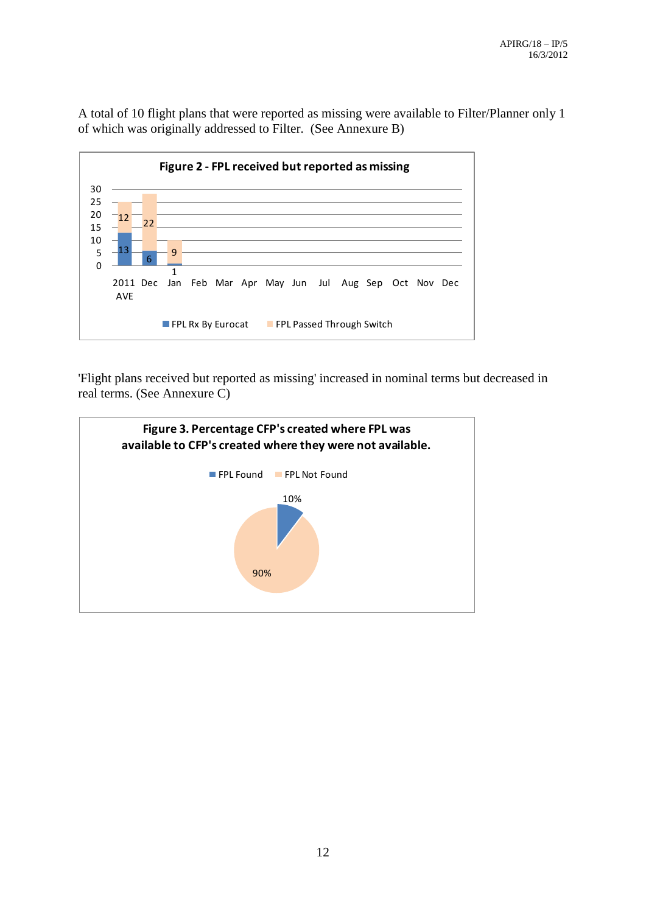A total of 10 flight plans that were reported as missing were available to Filter/Planner only 1 of which was originally addressed to Filter. (See Annexure B)



'Flight plans received but reported as missing' increased in nominal terms but decreased in real terms. (See Annexure C)

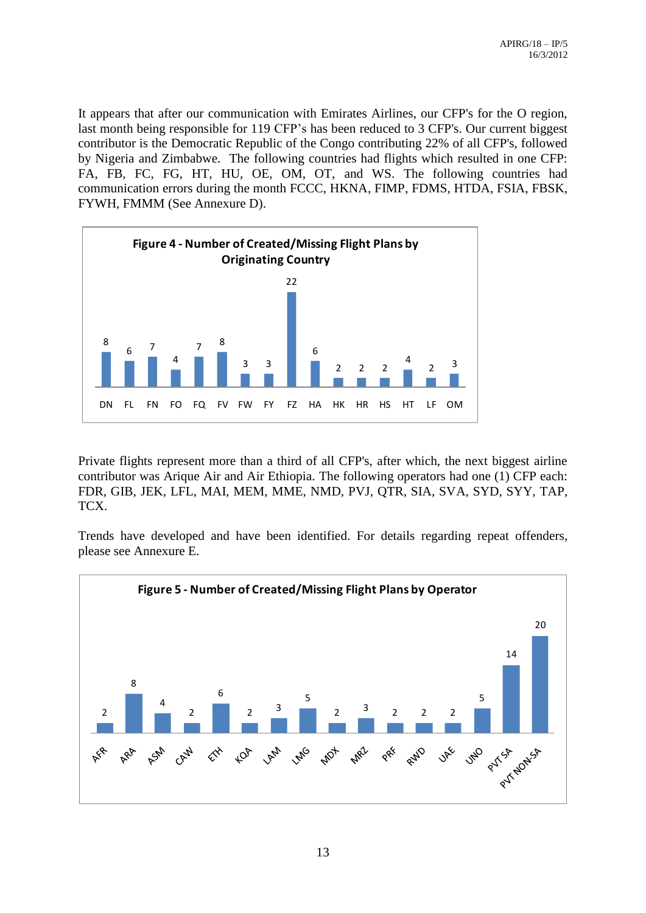It appears that after our communication with Emirates Airlines, our CFP's for the O region, last month being responsible for 119 CFP's has been reduced to 3 CFP's. Our current biggest contributor is the Democratic Republic of the Congo contributing 22% of all CFP's, followed by Nigeria and Zimbabwe. The following countries had flights which resulted in one CFP: FA, FB, FC, FG, HT, HU, OE, OM, OT, and WS. The following countries had communication errors during the month FCCC, HKNA, FIMP, FDMS, HTDA, FSIA, FBSK, FYWH, FMMM (See Annexure D).



Private flights represent more than a third of all CFP's, after which, the next biggest airline contributor was Arique Air and Air Ethiopia. The following operators had one (1) CFP each: FDR, GIB, JEK, LFL, MAI, MEM, MME, NMD, PVJ, QTR, SIA, SVA, SYD, SYY, TAP, TCX.

Trends have developed and have been identified. For details regarding repeat offenders, please see Annexure E.

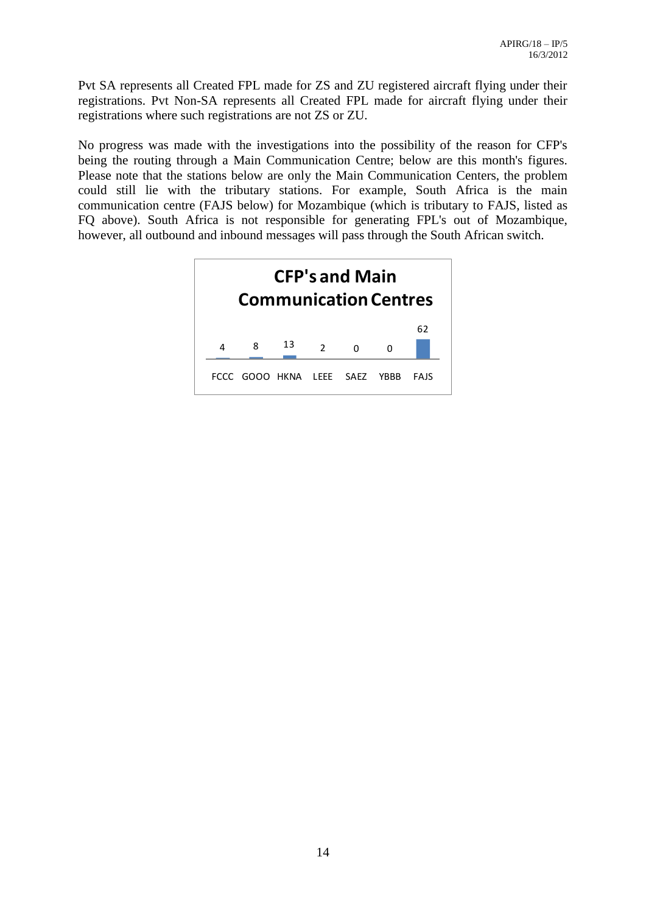Pvt SA represents all Created FPL made for ZS and ZU registered aircraft flying under their registrations. Pvt Non-SA represents all Created FPL made for aircraft flying under their registrations where such registrations are not ZS or ZU.

No progress was made with the investigations into the possibility of the reason for CFP's being the routing through a Main Communication Centre; below are this month's figures. Please note that the stations below are only the Main Communication Centers, the problem could still lie with the tributary stations. For example, South Africa is the main communication centre (FAJS below) for Mozambique (which is tributary to FAJS, listed as FQ above). South Africa is not responsible for generating FPL's out of Mozambique, however, all outbound and inbound messages will pass through the South African switch.

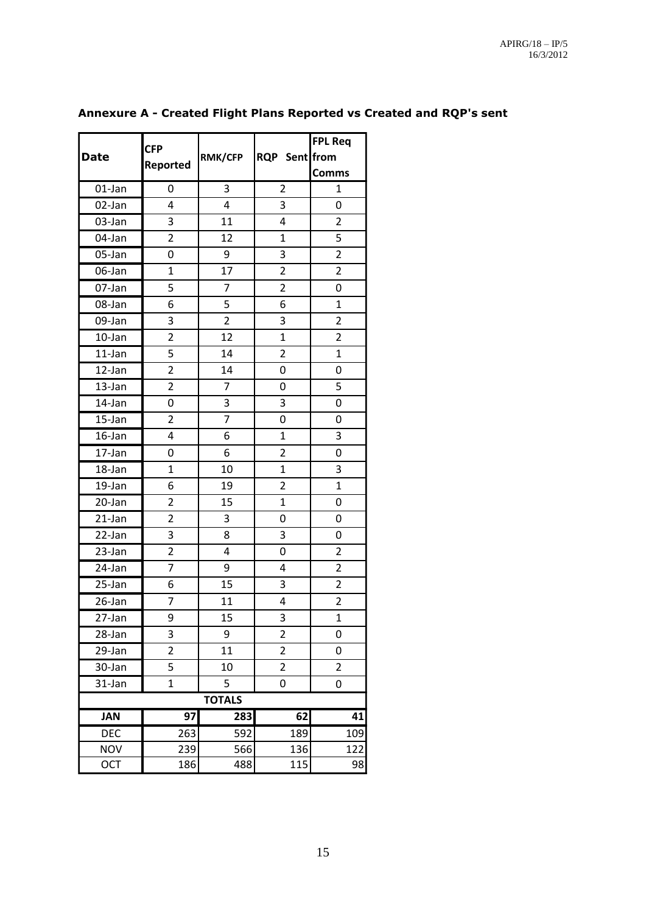|                      | <b>CFP</b>      |                         |                | <b>FPL Req</b> |
|----------------------|-----------------|-------------------------|----------------|----------------|
| <b>Date</b>          | <b>Reported</b> | <b>RMK/CFP</b>          | RQP Sent from  |                |
|                      |                 |                         |                | <b>Comms</b>   |
| 01-Jan               | 0               | 3                       | $\overline{2}$ | $\mathbf{1}$   |
| 02-Jan               | 4               | $\overline{\mathbf{4}}$ | 3              | 0              |
| 03-Jan               | 3               | 11                      | 4              | $\overline{2}$ |
| 04-Jan               | $\overline{2}$  | 12                      | 1              | 5              |
| 05-Jan               | 0               | 9                       | 3              | $\overline{2}$ |
| 06-Jan               | $\mathbf 1$     | 17                      | $\overline{2}$ | $\overline{2}$ |
| 07-Jan               | 5               | $\overline{7}$          | $\overline{2}$ | 0              |
| 08-Jan               | 6               | 5                       | 6              | $\mathbf{1}$   |
| 09-Jan               | 3               | $\overline{2}$          | 3              | $\overline{2}$ |
| 10-Jan               | $\overline{2}$  | 12                      | $\mathbf{1}$   | $\overline{2}$ |
| $11$ -Jan            | 5               | 14                      | $\overline{2}$ | $\overline{1}$ |
| 12-Jan               | $\overline{2}$  | 14                      | 0              | 0              |
| 13-Jan               | $\overline{2}$  | $\overline{7}$          | 0              | 5              |
| 14-Jan               | 0               | 3                       | 3              | 0              |
| 15-Jan               | $\overline{2}$  | $\overline{7}$          | 0              | 0              |
| 16-Jan               | 4               | 6                       | $\mathbf 1$    | 3              |
| 17-Jan               | 0               | 6                       | $\overline{2}$ | 0              |
| 18-Jan               | 1               | 10                      | $\overline{1}$ | 3              |
| 19-Jan               | 6               | 19                      | $\overline{2}$ | $\mathbf{1}$   |
| 20-Jan               | $\overline{2}$  | 15                      | $\mathbf 1$    | 0              |
| $21$ -Jan            | $\overline{2}$  | 3                       | 0              | 0              |
| $\overline{2}$ 2-Jan | 3               | 8                       | 3              | 0              |
| 23-Jan               | $\overline{2}$  | 4                       | 0              | $\overline{2}$ |
| 24-Jan               | $\overline{7}$  | 9                       | 4              | $\overline{2}$ |
| 25-Jan               | 6               | 15                      | 3              | $\overline{2}$ |
| $\overline{26}$ -Jan | 7               | 11                      | 4              | $\overline{2}$ |
| $\overline{27}$ -Jan | 9               | 15                      | 3              | $\mathbf{1}$   |
| 28-Jan               | 3               | 9                       | $\overline{2}$ | 0              |
| $\overline{2}9$ -Jan | $\overline{c}$  | 11                      | $\overline{2}$ | 0              |
| 30-Jan               | 5               | 10                      | $\overline{2}$ | $\overline{2}$ |
| 31-Jan               | $\overline{1}$  | 5                       | 0              | 0              |
|                      |                 | <b>TOTALS</b>           |                |                |
| <b>JAN</b>           | 97              | 283                     | 62             | 41             |
| <b>DEC</b>           | 263             | 592                     | 189            | 109            |
| <b>NOV</b>           | 239             | 566                     | 136            | 122            |
| OCT                  | 186             | 488                     | 115            | 98             |

## **Annexure A - Created Flight Plans Reported vs Created and RQP's sent**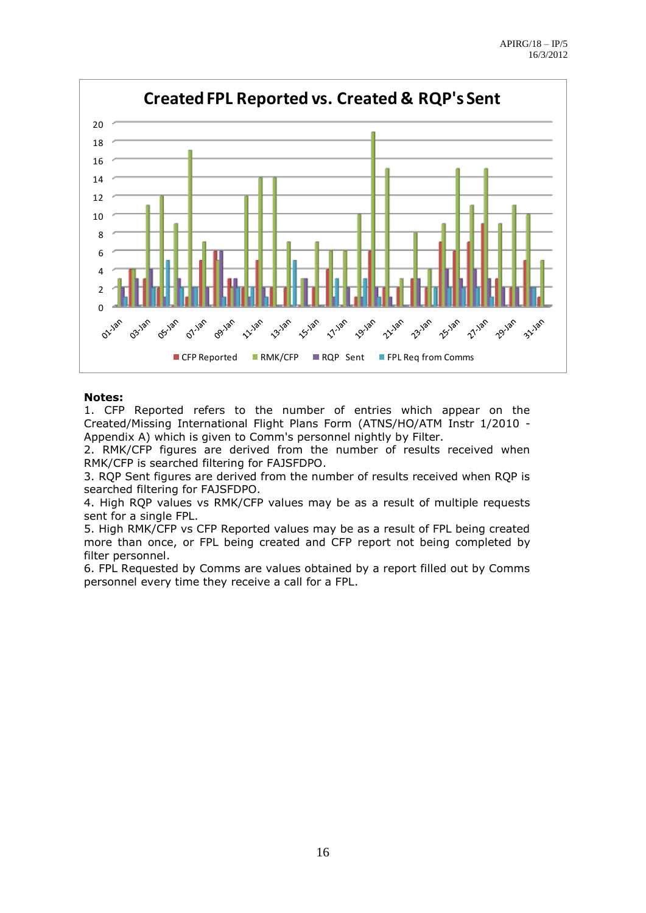

#### **Notes:**

1. CFP Reported refers to the number of entries which appear on the Created/Missing International Flight Plans Form (ATNS/HO/ATM Instr 1/2010 - Appendix A) which is given to Comm's personnel nightly by Filter.

2. RMK/CFP figures are derived from the number of results received when RMK/CFP is searched filtering for FAJSFDPO.

3. RQP Sent figures are derived from the number of results received when RQP is searched filtering for FAJSFDPO.

4. High RQP values vs RMK/CFP values may be as a result of multiple requests sent for a single FPL.

5. High RMK/CFP vs CFP Reported values may be as a result of FPL being created more than once, or FPL being created and CFP report not being completed by filter personnel.

6. FPL Requested by Comms are values obtained by a report filled out by Comms personnel every time they receive a call for a FPL.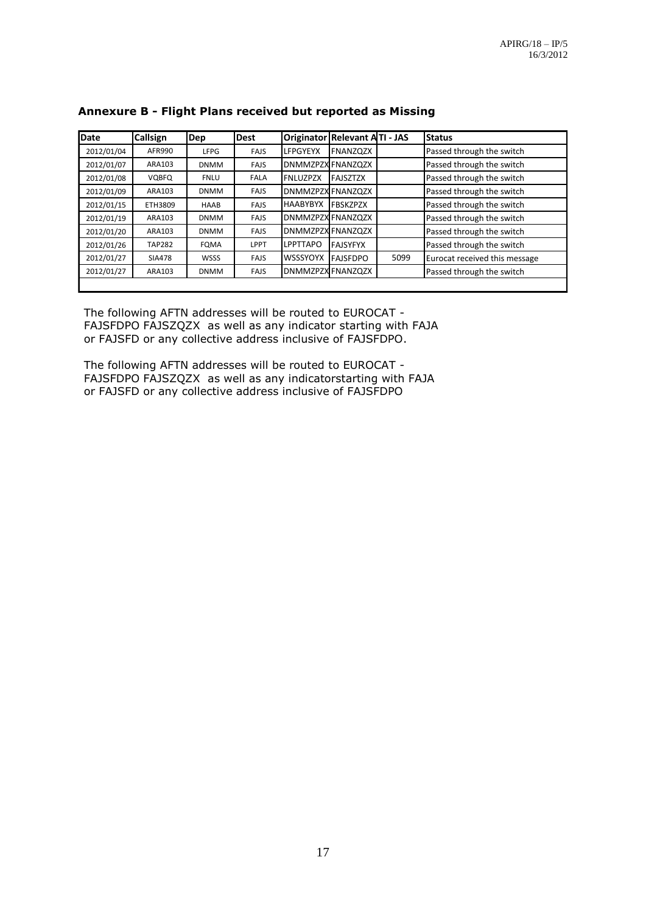| <b>Date</b> | Callsign      | Dep         | <b>Dest</b> |                          | Originator Relevant ATI - JAS |      | <b>Status</b>                 |
|-------------|---------------|-------------|-------------|--------------------------|-------------------------------|------|-------------------------------|
| 2012/01/04  | AFR990        | <b>LFPG</b> | <b>FAJS</b> | <b>LFPGYEYX</b>          | <b>FNANZQZX</b>               |      | Passed through the switch     |
| 2012/01/07  | ARA103        | <b>DNMM</b> | <b>FAJS</b> | <b>DNMMZPZX FNANZQZX</b> |                               |      | Passed through the switch     |
| 2012/01/08  | <b>VQBFQ</b>  | <b>FNLU</b> | <b>FALA</b> | <b>FNLUZPZX</b>          | <b>FAJSZTZX</b>               |      | Passed through the switch     |
| 2012/01/09  | ARA103        | <b>DNMM</b> | <b>FAJS</b> | <b>DNMMZPZX FNANZQZX</b> |                               |      | Passed through the switch     |
| 2012/01/15  | ETH3809       | <b>HAAB</b> | <b>FAJS</b> | <b>HAABYBYX</b>          | <b>FBSKZPZX</b>               |      | Passed through the switch     |
| 2012/01/19  | ARA103        | <b>DNMM</b> | <b>FAJS</b> | <b>DNMMZPZXFNANZQZX</b>  |                               |      | Passed through the switch     |
| 2012/01/20  | ARA103        | <b>DNMM</b> | <b>FAJS</b> | <b>DNMMZPZX FNANZQZX</b> |                               |      | Passed through the switch     |
| 2012/01/26  | <b>TAP282</b> | <b>FQMA</b> | <b>LPPT</b> | <b>LPPTTAPO</b>          | <b>FAJSYFYX</b>               |      | Passed through the switch     |
| 2012/01/27  | <b>SIA478</b> | <b>WSSS</b> | <b>FAJS</b> | <b>WSSSYOYX</b>          | <b>FAJSFDPO</b>               | 5099 | Eurocat received this message |
| 2012/01/27  | ARA103        | <b>DNMM</b> | <b>FAJS</b> | <b>DNMMZPZX FNANZQZX</b> |                               |      | Passed through the switch     |
|             |               |             |             |                          |                               |      |                               |

#### **Annexure B - Flight Plans received but reported as Missing**

The following AFTN addresses will be routed to EUROCAT - FAJSFDPO FAJSZQZX as well as any indicator starting with FAJA or FAJSFD or any collective address inclusive of FAJSFDPO.

The following AFTN addresses will be routed to EUROCAT - FAJSFDPO FAJSZQZX as well as any indicatorstarting with FAJA or FAJSFD or any collective address inclusive of FAJSFDPO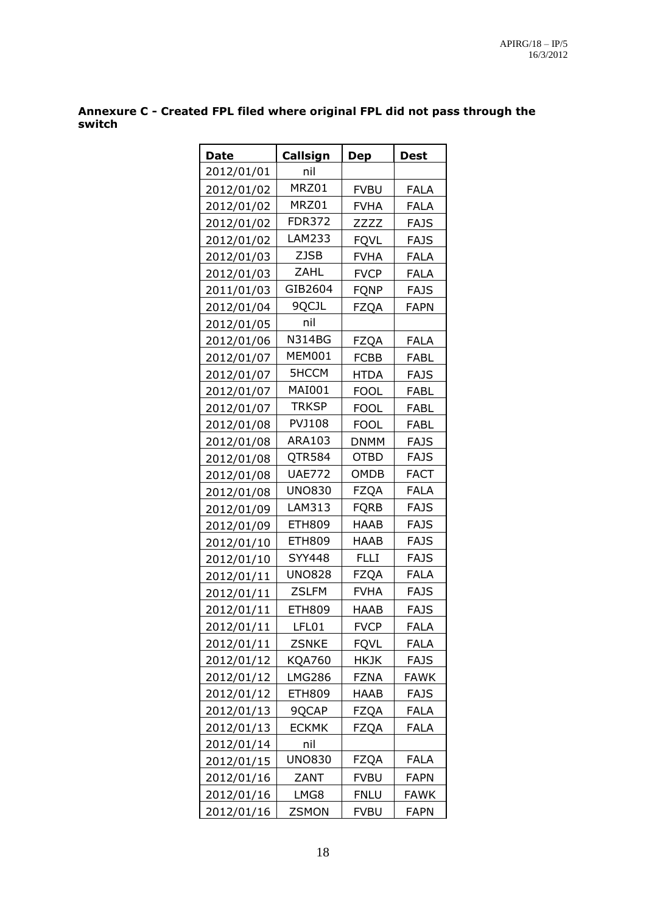**Annexure C - Created FPL filed where original FPL did not pass through the switch** 

| <b>Date</b> | Callsign      | <u>Dep</u>  | <b>Dest</b> |
|-------------|---------------|-------------|-------------|
| 2012/01/01  | nil           |             |             |
| 2012/01/02  | MRZ01         | <b>FVBU</b> | <b>FALA</b> |
| 2012/01/02  | MRZ01         | <b>FVHA</b> | <b>FALA</b> |
| 2012/01/02  | <b>FDR372</b> | ZZZZ        | <b>FAJS</b> |
| 2012/01/02  | LAM233        | <b>FQVL</b> | <b>FAJS</b> |
| 2012/01/03  | <b>ZJSB</b>   | <b>FVHA</b> | <b>FALA</b> |
| 2012/01/03  | <b>ZAHL</b>   | <b>FVCP</b> | <b>FALA</b> |
| 2011/01/03  | GIB2604       | <b>FQNP</b> | <b>FAJS</b> |
| 2012/01/04  | 9QCJL         | <b>FZQA</b> | <b>FAPN</b> |
| 2012/01/05  | nil           |             |             |
| 2012/01/06  | N314BG        | <b>FZQA</b> | <b>FALA</b> |
| 2012/01/07  | <b>MEM001</b> | <b>FCBB</b> | <b>FABL</b> |
| 2012/01/07  | <b>5HCCM</b>  | <b>HTDA</b> | <b>FAJS</b> |
| 2012/01/07  | MAI001        | <b>FOOL</b> | <b>FABL</b> |
| 2012/01/07  | <b>TRKSP</b>  | <b>FOOL</b> | FABL        |
| 2012/01/08  | PVJ108        | <b>FOOL</b> | <b>FABL</b> |
| 2012/01/08  | ARA103        | <b>DNMM</b> | <b>FAJS</b> |
| 2012/01/08  | QTR584        | <b>OTBD</b> | <b>FAJS</b> |
| 2012/01/08  | <b>UAE772</b> | OMDB        | <b>FACT</b> |
| 2012/01/08  | <b>UNO830</b> | <b>FZQA</b> | <b>FALA</b> |
| 2012/01/09  | LAM313        | <b>FQRB</b> | <b>FAJS</b> |
| 2012/01/09  | <b>ETH809</b> | <b>HAAB</b> | <b>FAJS</b> |
| 2012/01/10  | <b>ETH809</b> | HAAB        | <b>FAJS</b> |
| 2012/01/10  | <b>SYY448</b> | FLLI        | <b>FAJS</b> |
| 2012/01/11  | <b>UNO828</b> | <b>FZQA</b> | <b>FALA</b> |
| 2012/01/11  | <b>ZSLFM</b>  | <b>FVHA</b> | <b>FAJS</b> |
| 2012/01/11  | <b>ETH809</b> | HAAB        | <b>FAJS</b> |
| 2012/01/11  | LFL01         | <b>FVCP</b> | <b>FALA</b> |
| 2012/01/11  | <b>ZSNKE</b>  | <b>FQVL</b> | <b>FALA</b> |
| 2012/01/12  | KQA760        | HKJK        | FAJS        |
| 2012/01/12  | LMG286        | <b>FZNA</b> | FAWK        |
| 2012/01/12  | ETH809        | HAAB        | FAJS        |
| 2012/01/13  | 9QCAP         | <b>FZQA</b> | <b>FALA</b> |
| 2012/01/13  | ECKMK         | FZQA        | FALA        |
| 2012/01/14  | nil           |             |             |
| 2012/01/15  | <b>UNO830</b> | <b>FZQA</b> | <b>FALA</b> |
| 2012/01/16  | ZANT          | <b>FVBU</b> | <b>FAPN</b> |
| 2012/01/16  | LMG8          | <b>FNLU</b> | <b>FAWK</b> |
| 2012/01/16  | ZSMON         | <b>FVBU</b> | <b>FAPN</b> |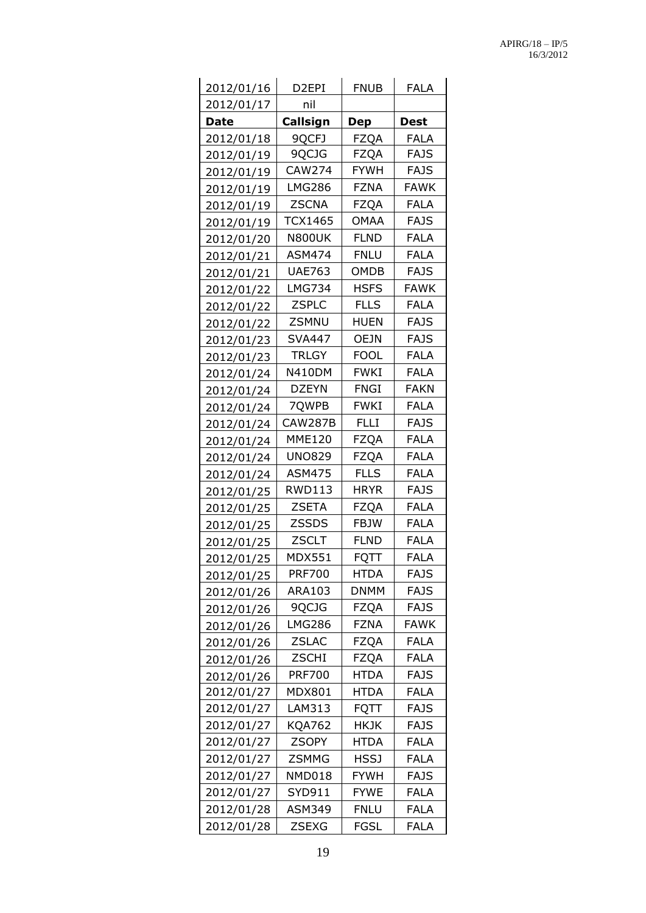| 2012/01/16  | D <sub>2</sub> EPI | <b>FNUB</b> | <b>FALA</b> |
|-------------|--------------------|-------------|-------------|
| 2012/01/17  | nil                |             |             |
| <b>Date</b> | Callsign           | <b>Dep</b>  | <b>Dest</b> |
| 2012/01/18  | 9QCFJ              | <b>FZQA</b> | <b>FALA</b> |
| 2012/01/19  | 9QCJG              | <b>FZQA</b> | <b>FAJS</b> |
| 2012/01/19  | CAW274             | <b>FYWH</b> | <b>FAJS</b> |
| 2012/01/19  | <b>LMG286</b>      | <b>FZNA</b> | <b>FAWK</b> |
| 2012/01/19  | <b>ZSCNA</b>       | <b>FZQA</b> | <b>FALA</b> |
| 2012/01/19  | <b>TCX1465</b>     | <b>OMAA</b> | <b>FAJS</b> |
| 2012/01/20  | <b>N800UK</b>      | <b>FLND</b> | <b>FALA</b> |
| 2012/01/21  | <b>ASM474</b>      | <b>FNLU</b> | <b>FALA</b> |
| 2012/01/21  | <b>UAE763</b>      | <b>OMDB</b> | <b>FAJS</b> |
| 2012/01/22  | <b>LMG734</b>      | <b>HSFS</b> | <b>FAWK</b> |
| 2012/01/22  | <b>ZSPLC</b>       | <b>FLLS</b> | <b>FALA</b> |
| 2012/01/22  | <b>ZSMNU</b>       | <b>HUEN</b> | <b>FAJS</b> |
| 2012/01/23  | <b>SVA447</b>      | <b>OEJN</b> | <b>FAJS</b> |
| 2012/01/23  | <b>TRLGY</b>       | <b>FOOL</b> | <b>FALA</b> |
| 2012/01/24  | <b>N410DM</b>      | <b>FWKI</b> | <b>FALA</b> |
| 2012/01/24  | <b>DZEYN</b>       | <b>FNGI</b> | <b>FAKN</b> |
| 2012/01/24  | 7QWPB              | <b>FWKI</b> | <b>FALA</b> |
| 2012/01/24  | CAW287B            | <b>FLLI</b> | <b>FAJS</b> |
| 2012/01/24  | <b>MME120</b>      | <b>FZQA</b> | <b>FALA</b> |
| 2012/01/24  | <b>UNO829</b>      | <b>FZQA</b> | <b>FALA</b> |
| 2012/01/24  | ASM475             | <b>FLLS</b> | <b>FALA</b> |
| 2012/01/25  | <b>RWD113</b>      | <b>HRYR</b> | <b>FAJS</b> |
| 2012/01/25  | <b>ZSETA</b>       | <b>FZQA</b> | <b>FALA</b> |
| 2012/01/25  | <b>ZSSDS</b>       | <b>FBJW</b> | <b>FALA</b> |
| 2012/01/25  | <b>ZSCLT</b>       | <b>FLND</b> | <b>FALA</b> |
| 2012/01/25  | <b>MDX551</b>      | <b>FQTT</b> | <b>FALA</b> |
| 2012/01/25  | <b>PRF700</b>      | <b>HTDA</b> | <b>FAJS</b> |
| 2012/01/26  | ARA103             | <b>DNMM</b> | <b>FAJS</b> |
| 2012/01/26  | 9QCJG              | <b>FZQA</b> | <b>FAJS</b> |
| 2012/01/26  | <b>LMG286</b>      | <b>FZNA</b> | <b>FAWK</b> |
| 2012/01/26  | <b>ZSLAC</b>       | <b>FZQA</b> | <b>FALA</b> |
| 2012/01/26  | <b>ZSCHI</b>       | <b>FZQA</b> | <b>FALA</b> |
| 2012/01/26  | <b>PRF700</b>      | <b>HTDA</b> | <b>FAJS</b> |
| 2012/01/27  | <b>MDX801</b>      | <b>HTDA</b> | <b>FALA</b> |
| 2012/01/27  | LAM313             | <b>FQTT</b> | <b>FAJS</b> |
| 2012/01/27  | <b>KQA762</b>      | <b>HKJK</b> | <b>FAJS</b> |
| 2012/01/27  | <b>ZSOPY</b>       | <b>HTDA</b> | <b>FALA</b> |
| 2012/01/27  | <b>ZSMMG</b>       | <b>HSSJ</b> | <b>FALA</b> |
| 2012/01/27  | NMD018             | <b>FYWH</b> | <b>FAJS</b> |
| 2012/01/27  | SYD911             | <b>FYWE</b> | <b>FALA</b> |
| 2012/01/28  | <b>ASM349</b>      | <b>FNLU</b> | <b>FALA</b> |
| 2012/01/28  | <b>ZSEXG</b>       | <b>FGSL</b> | <b>FALA</b> |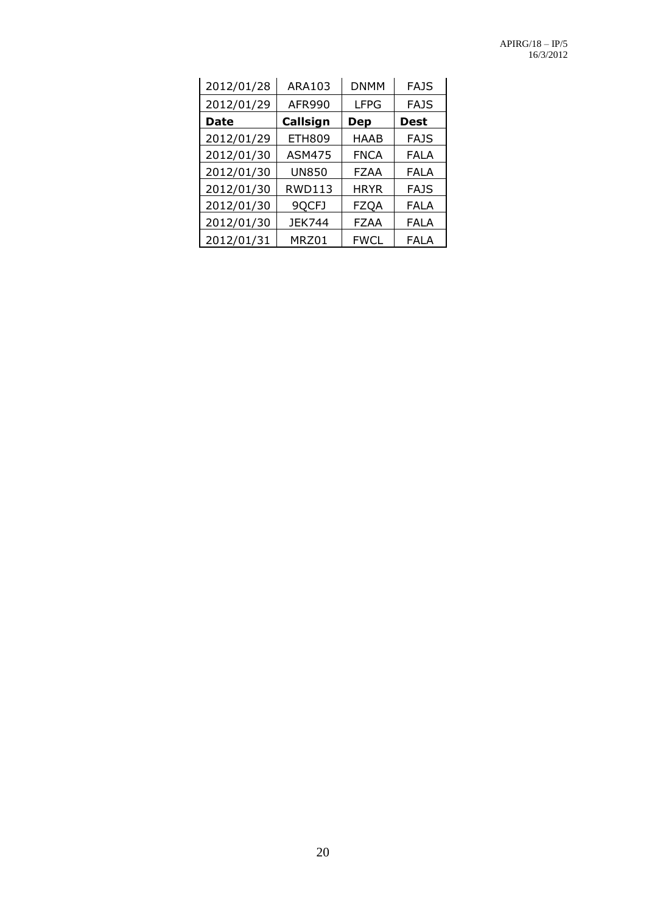| 2012/01/28 | ARA103        | <b>DNMM</b> | FAJS        |
|------------|---------------|-------------|-------------|
| 2012/01/29 | AFR990        | <b>LFPG</b> | <b>FAJS</b> |
| Date       | Callsign      | <b>Dep</b>  | <b>Dest</b> |
| 2012/01/29 | <b>ETH809</b> | HAAB        | <b>FAJS</b> |
| 2012/01/30 | <b>ASM475</b> | <b>FNCA</b> | FALA        |
| 2012/01/30 | <b>UN850</b>  | <b>FZAA</b> | FALA        |
| 2012/01/30 | <b>RWD113</b> | <b>HRYR</b> | <b>FAJS</b> |
| 2012/01/30 | 9QCFJ         | <b>FZQA</b> | FALA        |
| 2012/01/30 | JEK744        | <b>FZAA</b> | FALA        |
| 2012/01/31 | MRZ01         | FWCL        | FALA        |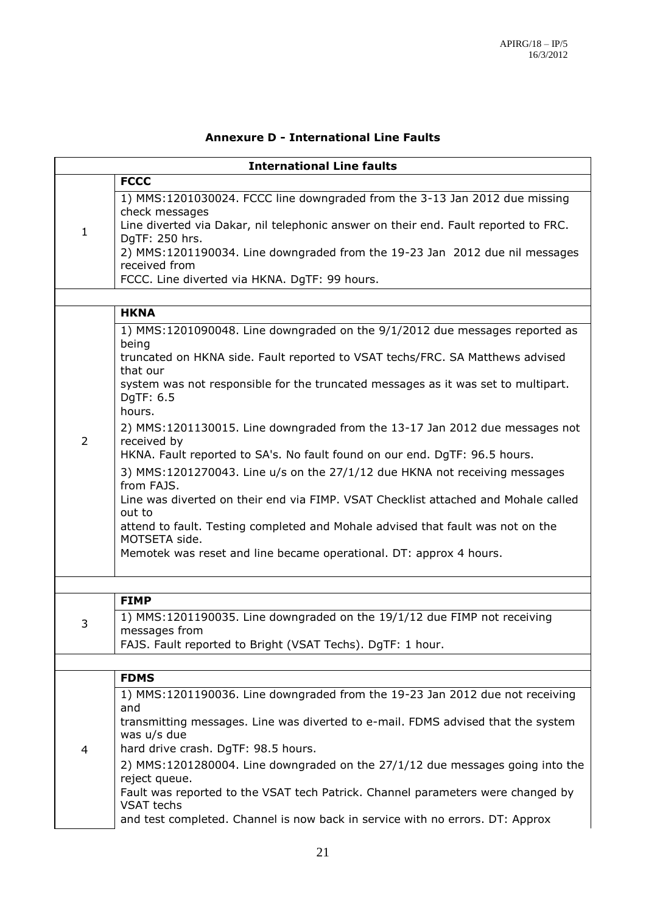#### **Annexure D - International Line Faults**

|   | <b>International Line faults</b>                                                                         |
|---|----------------------------------------------------------------------------------------------------------|
|   | <b>FCCC</b>                                                                                              |
|   | 1) MMS:1201030024. FCCC line downgraded from the 3-13 Jan 2012 due missing<br>check messages             |
| 1 | Line diverted via Dakar, nil telephonic answer on their end. Fault reported to FRC.<br>DgTF: 250 hrs.    |
|   | 2) MMS:1201190034. Line downgraded from the 19-23 Jan 2012 due nil messages<br>received from             |
|   | FCCC. Line diverted via HKNA. DgTF: 99 hours.                                                            |
|   |                                                                                                          |
|   | <b>HKNA</b>                                                                                              |
|   | 1) MMS:1201090048. Line downgraded on the 9/1/2012 due messages reported as<br>being                     |
|   | truncated on HKNA side. Fault reported to VSAT techs/FRC. SA Matthews advised<br>that our                |
|   | system was not responsible for the truncated messages as it was set to multipart.<br>DgTF: 6.5<br>hours. |
|   | 2) MMS:1201130015. Line downgraded from the 13-17 Jan 2012 due messages not                              |
| 2 | received by<br>HKNA. Fault reported to SA's. No fault found on our end. DgTF: 96.5 hours.                |
|   | 3) MMS:1201270043. Line u/s on the 27/1/12 due HKNA not receiving messages<br>from FAJS.                 |
|   | Line was diverted on their end via FIMP. VSAT Checklist attached and Mohale called<br>out to             |
|   | attend to fault. Testing completed and Mohale advised that fault was not on the<br>MOTSETA side.         |
|   | Memotek was reset and line became operational. DT: approx 4 hours.                                       |
|   |                                                                                                          |
|   | <b>FIMP</b>                                                                                              |
| 3 | 1) MMS:1201190035. Line downgraded on the 19/1/12 due FIMP not receiving<br>messages from                |
|   | FAJS. Fault reported to Bright (VSAT Techs). DgTF: 1 hour.                                               |
|   |                                                                                                          |
|   | <b>FDMS</b>                                                                                              |
|   | 1) MMS:1201190036. Line downgraded from the 19-23 Jan 2012 due not receiving<br>and                      |
|   | transmitting messages. Line was diverted to e-mail. FDMS advised that the system                         |
| 4 | was u/s due<br>hard drive crash. DgTF: 98.5 hours.                                                       |
|   | 2) MMS:1201280004. Line downgraded on the 27/1/12 due messages going into the                            |
|   | reject queue.<br>Fault was reported to the VSAT tech Patrick. Channel parameters were changed by         |
|   | <b>VSAT</b> techs                                                                                        |
|   | and test completed. Channel is now back in service with no errors. DT: Approx                            |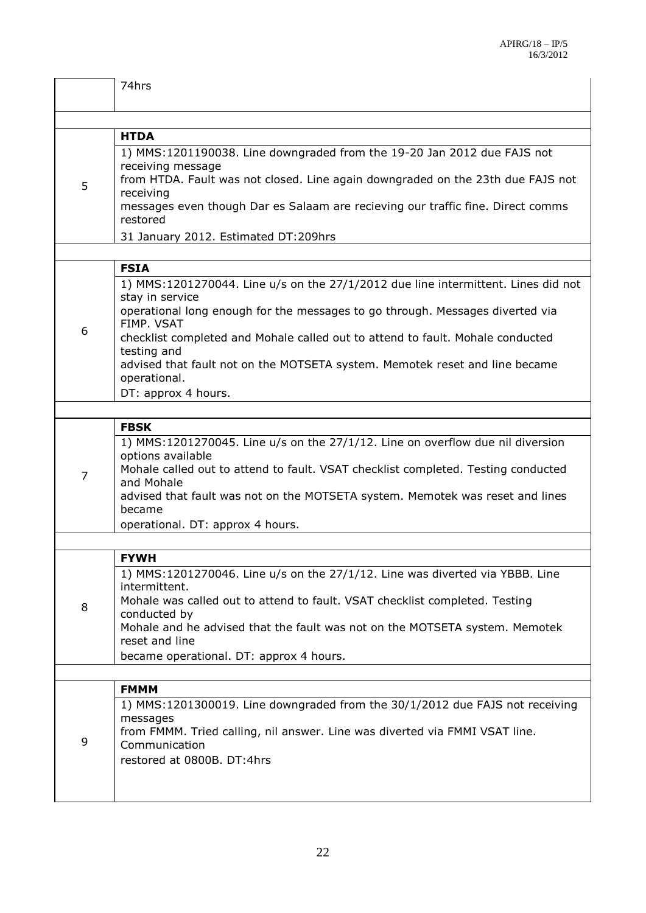|   | 74hrs                                                                                                |
|---|------------------------------------------------------------------------------------------------------|
|   |                                                                                                      |
|   | <b>HTDA</b>                                                                                          |
| 5 | 1) MMS:1201190038. Line downgraded from the 19-20 Jan 2012 due FAJS not<br>receiving message         |
|   | from HTDA. Fault was not closed. Line again downgraded on the 23th due FAJS not<br>receiving         |
|   | messages even though Dar es Salaam are recieving our traffic fine. Direct comms<br>restored          |
|   | 31 January 2012. Estimated DT:209hrs                                                                 |
|   |                                                                                                      |
|   | <b>FSIA</b>                                                                                          |
|   | 1) MMS:1201270044. Line u/s on the 27/1/2012 due line intermittent. Lines did not<br>stay in service |
|   | operational long enough for the messages to go through. Messages diverted via<br>FIMP. VSAT          |
| 6 | checklist completed and Mohale called out to attend to fault. Mohale conducted<br>testing and        |
|   | advised that fault not on the MOTSETA system. Memotek reset and line became<br>operational.          |
|   | DT: approx 4 hours.                                                                                  |
|   |                                                                                                      |
|   | <b>FBSK</b>                                                                                          |
|   | 1) MMS:1201270045. Line u/s on the 27/1/12. Line on overflow due nil diversion<br>options available  |
| 7 | Mohale called out to attend to fault. VSAT checklist completed. Testing conducted<br>and Mohale      |
|   | advised that fault was not on the MOTSETA system. Memotek was reset and lines<br>became              |
|   | operational. DT: approx 4 hours.                                                                     |
|   |                                                                                                      |
|   | <b>FYWH</b>                                                                                          |
|   | 1) MMS:1201270046. Line u/s on the 27/1/12. Line was diverted via YBBB. Line<br>intermittent.        |
| 8 | Mohale was called out to attend to fault. VSAT checklist completed. Testing<br>conducted by          |
|   | Mohale and he advised that the fault was not on the MOTSETA system. Memotek<br>reset and line        |
|   | became operational. DT: approx 4 hours.                                                              |
|   |                                                                                                      |
|   | <b>FMMM</b>                                                                                          |
|   | 1) MMS:1201300019. Line downgraded from the 30/1/2012 due FAJS not receiving                         |
| 9 | messages<br>from FMMM. Tried calling, nil answer. Line was diverted via FMMI VSAT line.              |
|   | Communication                                                                                        |
|   | restored at 0800B. DT:4hrs                                                                           |
|   |                                                                                                      |
|   |                                                                                                      |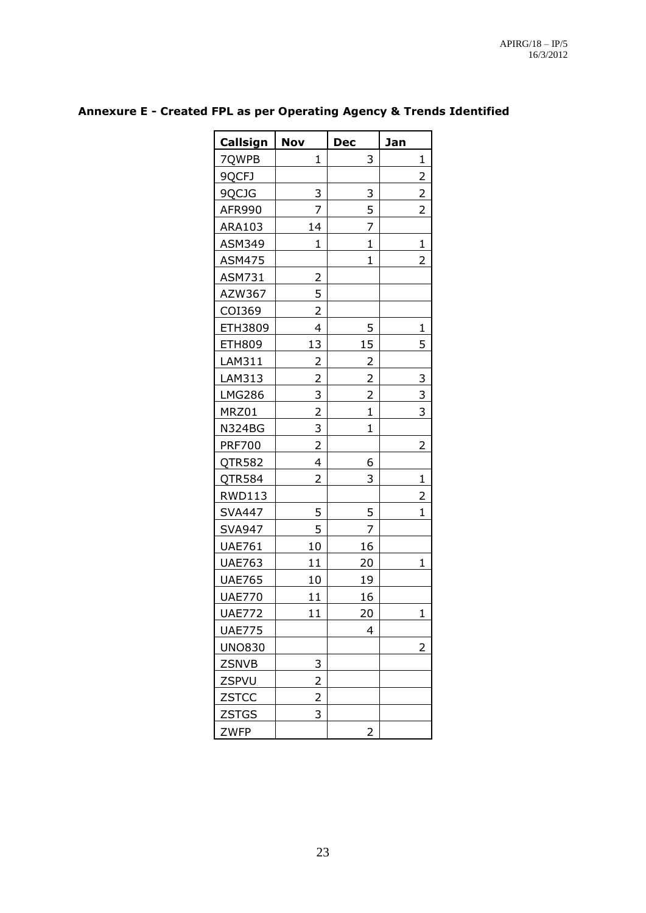| Callsign      | <b>Nov</b>     | <b>Dec</b>     | Jan            |
|---------------|----------------|----------------|----------------|
| 7QWPB         | 1              | 3              | 1              |
| 9QCFJ         |                |                | 2              |
| 9QCJG         | 3              | 3              | $\overline{2}$ |
| AFR990        | 7              | 5              | $\overline{2}$ |
| ARA103        | 14             | 7              |                |
| <b>ASM349</b> | $\mathbf{1}$   | $\mathbf{1}$   | $\mathbf{1}$   |
| <b>ASM475</b> |                | $\mathbf{1}$   | $\overline{2}$ |
| ASM731        | 2              |                |                |
| AZW367        | 5              |                |                |
| COI369        | $\overline{2}$ |                |                |
| ETH3809       | 4              | 5              | 1              |
| <b>ETH809</b> | 13             | 15             | 5              |
| LAM311        | 2              | 2              |                |
| LAM313        | $\overline{2}$ | 2              | 3              |
| <b>LMG286</b> | 3              | $\overline{2}$ | 3              |
| MRZ01         | $\overline{2}$ | $\mathbf{1}$   | 3              |
| <b>N324BG</b> | 3              | $\mathbf{1}$   |                |
| <b>PRF700</b> | $\overline{c}$ |                | 2              |
| QTR582        | 4              | 6              |                |
| QTR584        | 2              | 3              | $\mathbf{1}$   |
| <b>RWD113</b> |                |                | 2              |
| <b>SVA447</b> | 5              | 5              | $\overline{1}$ |
| <b>SVA947</b> | 5              | 7              |                |
| <b>UAE761</b> | 10             | 16             |                |
| <b>UAE763</b> | 11             | 20             | 1              |
| <b>UAE765</b> | 10             | 19             |                |
| <b>UAE770</b> | 11             | 16             |                |
| <b>UAE772</b> | 11             | 20             | $\mathbf{1}$   |
| <b>UAE775</b> |                | 4              |                |
| <b>UNO830</b> |                |                | 2              |
| <b>ZSNVB</b>  | 3              |                |                |
| ZSPVU         | 2              |                |                |
| ZSTCC         | 2              |                |                |
| <b>ZSTGS</b>  | 3              |                |                |
| <b>ZWFP</b>   |                | 2              |                |

## **Annexure E - Created FPL as per Operating Agency & Trends Identified**